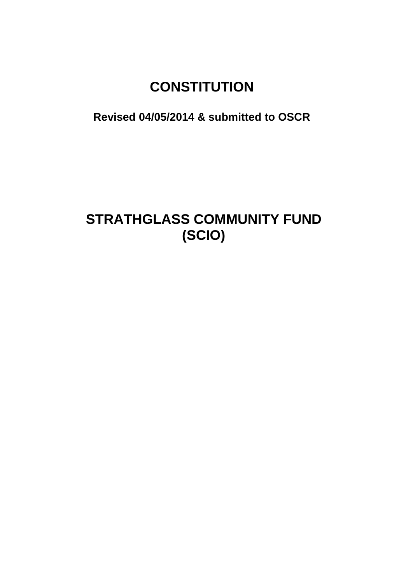# **CONSTITUTION**

**Revised 04/05/2014 & submitted to OSCR**

## **STRATHGLASS COMMUNITY FUND (SCIO)**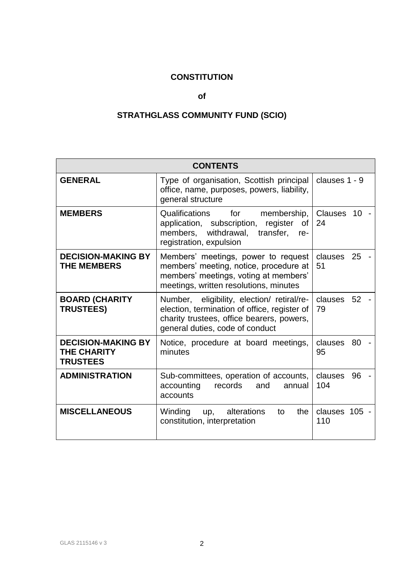## **CONSTITUTION**

## **of**

## **STRATHGLASS COMMUNITY FUND (SCIO)**

| <b>CONTENTS</b>                                                    |                                                                                                                                                                            |                                         |  |  |
|--------------------------------------------------------------------|----------------------------------------------------------------------------------------------------------------------------------------------------------------------------|-----------------------------------------|--|--|
| <b>GENERAL</b>                                                     | Type of organisation, Scottish principal<br>office, name, purposes, powers, liability,<br>general structure                                                                | clauses $1 - 9$                         |  |  |
| <b>MEMBERS</b>                                                     | Qualifications for<br>membership,<br>application, subscription, register<br>of<br>members, withdrawal, transfer,<br>re-<br>registration, expulsion                         | <b>Clauses</b><br>10 <sup>1</sup><br>24 |  |  |
| <b>DECISION-MAKING BY</b><br><b>THE MEMBERS</b>                    | Members' meetings, power to request<br>members' meeting, notice, procedure at<br>members' meetings, voting at members'<br>meetings, written resolutions, minutes           | clauses<br>25<br>51                     |  |  |
| <b>BOARD (CHARITY</b><br><b>TRUSTEES)</b>                          | Number, eligibility, election/ retiral/re-<br>election, termination of office, register of<br>charity trustees, office bearers, powers,<br>general duties, code of conduct | clauses 52<br>79                        |  |  |
| <b>DECISION-MAKING BY</b><br><b>THE CHARITY</b><br><b>TRUSTEES</b> | Notice, procedure at board meetings,<br>minutes                                                                                                                            | clauses<br>80<br>95                     |  |  |
| <b>ADMINISTRATION</b>                                              | Sub-committees, operation of accounts,<br>accounting<br>records<br>and<br>annual<br>accounts                                                                               | clauses<br>96<br>104                    |  |  |
| <b>MISCELLANEOUS</b>                                               | Winding up,<br>alterations<br>the<br>to<br>constitution, interpretation                                                                                                    | clauses 105 -<br>110                    |  |  |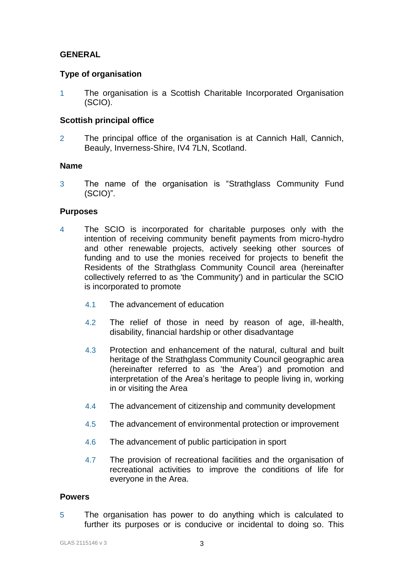## **GENERAL**

## **Type of organisation**

1 The organisation is a Scottish Charitable Incorporated Organisation (SCIO).

## **Scottish principal office**

2 The principal office of the organisation is at Cannich Hall, Cannich, Beauly, Inverness-Shire, IV4 7LN, Scotland.

## **Name**

3 The name of the organisation is "Strathglass Community Fund (SCIO)".

## **Purposes**

- 4 The SCIO is incorporated for charitable purposes only with the intention of receiving community benefit payments from micro-hydro and other renewable projects, actively seeking other sources of funding and to use the monies received for projects to benefit the Residents of the Strathglass Community Council area (hereinafter collectively referred to as 'the Community') and in particular the SCIO is incorporated to promote
	- 4.1 The advancement of education
	- 4.2 The relief of those in need by reason of age, ill-health, disability, financial hardship or other disadvantage
	- 4.3 Protection and enhancement of the natural, cultural and built heritage of the Strathglass Community Council geographic area (hereinafter referred to as 'the Area') and promotion and interpretation of the Area's heritage to people living in, working in or visiting the Area
	- 4.4 The advancement of citizenship and community development
	- 4.5 The advancement of environmental protection or improvement
	- 4.6 The advancement of public participation in sport
	- 4.7 The provision of recreational facilities and the organisation of recreational activities to improve the conditions of life for everyone in the Area.

#### **Powers**

5 The organisation has power to do anything which is calculated to further its purposes or is conducive or incidental to doing so. This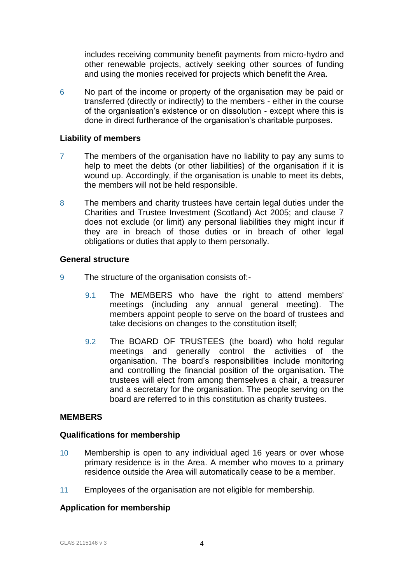includes receiving community benefit payments from micro-hydro and other renewable projects, actively seeking other sources of funding and using the monies received for projects which benefit the Area.

6 No part of the income or property of the organisation may be paid or transferred (directly or indirectly) to the members - either in the course of the organisation's existence or on dissolution - except where this is done in direct furtherance of the organisation's charitable purposes.

## **Liability of members**

- 7 The members of the organisation have no liability to pay any sums to help to meet the debts (or other liabilities) of the organisation if it is wound up. Accordingly, if the organisation is unable to meet its debts, the members will not be held responsible.
- 8 The members and charity trustees have certain legal duties under the Charities and Trustee Investment (Scotland) Act 2005; and clause 7 does not exclude (or limit) any personal liabilities they might incur if they are in breach of those duties or in breach of other legal obligations or duties that apply to them personally.

#### **General structure**

- 9 The structure of the organisation consists of:-
	- 9.1 The MEMBERS who have the right to attend members' meetings (including any annual general meeting). The members appoint people to serve on the board of trustees and take decisions on changes to the constitution itself;
	- 9.2 The BOARD OF TRUSTEES (the board) who hold regular meetings and generally control the activities of the organisation. The board's responsibilities include monitoring and controlling the financial position of the organisation. The trustees will elect from among themselves a chair, a treasurer and a secretary for the organisation. The people serving on the board are referred to in this constitution as charity trustees.

## **MEMBERS**

#### **Qualifications for membership**

- 10 Membership is open to any individual aged 16 years or over whose primary residence is in the Area. A member who moves to a primary residence outside the Area will automatically cease to be a member.
- 11 Employees of the organisation are not eligible for membership.

## **Application for membership**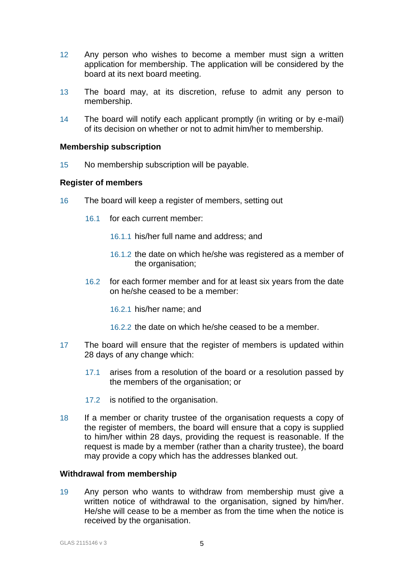- 12 Any person who wishes to become a member must sign a written application for membership. The application will be considered by the board at its next board meeting.
- 13 The board may, at its discretion, refuse to admit any person to membership.
- 14 The board will notify each applicant promptly (in writing or by e-mail) of its decision on whether or not to admit him/her to membership.

#### **Membership subscription**

15 No membership subscription will be payable.

#### **Register of members**

- 16 The board will keep a register of members, setting out
	- 16.1 for each current member:
		- 16.1.1 his/her full name and address; and
		- 16.1.2 the date on which he/she was registered as a member of the organisation;
	- 16.2 for each former member and for at least six years from the date on he/she ceased to be a member:
		- 16.2.1 his/her name; and
		- 16.2.2 the date on which he/she ceased to be a member.
- 17 The board will ensure that the register of members is updated within 28 days of any change which:
	- 17.1 arises from a resolution of the board or a resolution passed by the members of the organisation; or
	- 17.2 is notified to the organisation.
- 18 If a member or charity trustee of the organisation requests a copy of the register of members, the board will ensure that a copy is supplied to him/her within 28 days, providing the request is reasonable. If the request is made by a member (rather than a charity trustee), the board may provide a copy which has the addresses blanked out.

## **Withdrawal from membership**

19 Any person who wants to withdraw from membership must give a written notice of withdrawal to the organisation, signed by him/her. He/she will cease to be a member as from the time when the notice is received by the organisation.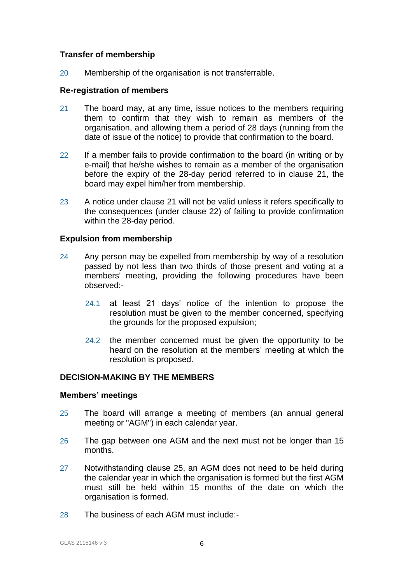## **Transfer of membership**

20 Membership of the organisation is not transferrable.

### **Re-registration of members**

- 21 The board may, at any time, issue notices to the members requiring them to confirm that they wish to remain as members of the organisation, and allowing them a period of 28 days (running from the date of issue of the notice) to provide that confirmation to the board.
- 22 If a member fails to provide confirmation to the board (in writing or by e-mail) that he/she wishes to remain as a member of the organisation before the expiry of the 28-day period referred to in clause 21, the board may expel him/her from membership.
- 23 A notice under clause 21 will not be valid unless it refers specifically to the consequences (under clause 22) of failing to provide confirmation within the 28-day period.

## **Expulsion from membership**

- 24 Any person may be expelled from membership by way of a resolution passed by not less than two thirds of those present and voting at a members' meeting, providing the following procedures have been observed:-
	- 24.1 at least 21 days' notice of the intention to propose the resolution must be given to the member concerned, specifying the grounds for the proposed expulsion;
	- 24.2 the member concerned must be given the opportunity to be heard on the resolution at the members' meeting at which the resolution is proposed.

## **DECISION-MAKING BY THE MEMBERS**

#### **Members' meetings**

- 25 The board will arrange a meeting of members (an annual general meeting or "AGM") in each calendar year.
- 26 The gap between one AGM and the next must not be longer than 15 months.
- 27 Notwithstanding clause 25, an AGM does not need to be held during the calendar year in which the organisation is formed but the first AGM must still be held within 15 months of the date on which the organisation is formed.
- 28 The business of each AGM must include:-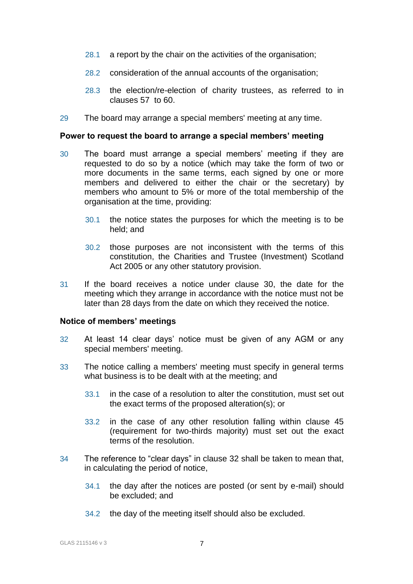- 28.1 a report by the chair on the activities of the organisation;
- 28.2 consideration of the annual accounts of the organisation;
- 28.3 the election/re-election of charity trustees, as referred to in clauses 57 to 60.
- 29 The board may arrange a special members' meeting at any time.

#### **Power to request the board to arrange a special members' meeting**

- 30 The board must arrange a special members' meeting if they are requested to do so by a notice (which may take the form of two or more documents in the same terms, each signed by one or more members and delivered to either the chair or the secretary) by members who amount to 5% or more of the total membership of the organisation at the time, providing:
	- 30.1 the notice states the purposes for which the meeting is to be held; and
	- 30.2 those purposes are not inconsistent with the terms of this constitution, the Charities and Trustee (Investment) Scotland Act 2005 or any other statutory provision.
- 31 If the board receives a notice under clause 30, the date for the meeting which they arrange in accordance with the notice must not be later than 28 days from the date on which they received the notice.

#### **Notice of members' meetings**

- 32 At least 14 clear days' notice must be given of any AGM or any special members' meeting.
- 33 The notice calling a members' meeting must specify in general terms what business is to be dealt with at the meeting; and
	- 33.1 in the case of a resolution to alter the constitution, must set out the exact terms of the proposed alteration(s); or
	- 33.2 in the case of any other resolution falling within clause 45 (requirement for two-thirds majority) must set out the exact terms of the resolution.
- 34 The reference to "clear days" in clause 32 shall be taken to mean that, in calculating the period of notice,
	- 34.1 the day after the notices are posted (or sent by e-mail) should be excluded; and
	- 34.2 the day of the meeting itself should also be excluded.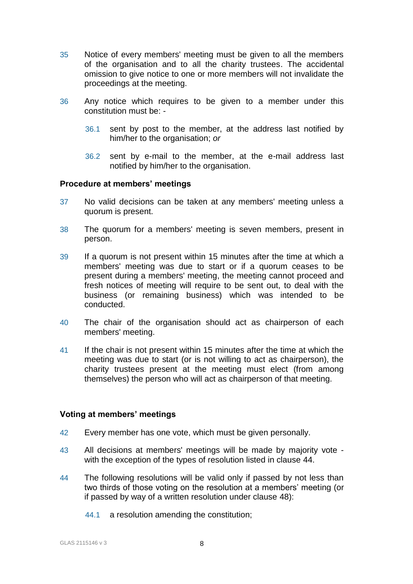- 35 Notice of every members' meeting must be given to all the members of the organisation and to all the charity trustees. The accidental omission to give notice to one or more members will not invalidate the proceedings at the meeting.
- 36 Any notice which requires to be given to a member under this constitution must be: -
	- 36.1 sent by post to the member, at the address last notified by him/her to the organisation; *or*
	- 36.2 sent by e-mail to the member, at the e-mail address last notified by him/her to the organisation.

#### **Procedure at members' meetings**

- 37 No valid decisions can be taken at any members' meeting unless a quorum is present.
- 38 The quorum for a members' meeting is seven members, present in person.
- 39 If a quorum is not present within 15 minutes after the time at which a members' meeting was due to start or if a quorum ceases to be present during a members' meeting, the meeting cannot proceed and fresh notices of meeting will require to be sent out, to deal with the business (or remaining business) which was intended to be conducted.
- 40 The chair of the organisation should act as chairperson of each members' meeting.
- 41 If the chair is not present within 15 minutes after the time at which the meeting was due to start (or is not willing to act as chairperson), the charity trustees present at the meeting must elect (from among themselves) the person who will act as chairperson of that meeting.

#### **Voting at members' meetings**

- 42 Every member has one vote, which must be given personally.
- 43 All decisions at members' meetings will be made by majority vote with the exception of the types of resolution listed in clause 44.
- 44 The following resolutions will be valid only if passed by not less than two thirds of those voting on the resolution at a members' meeting (or if passed by way of a written resolution under clause 48):
	- 44.1 a resolution amending the constitution;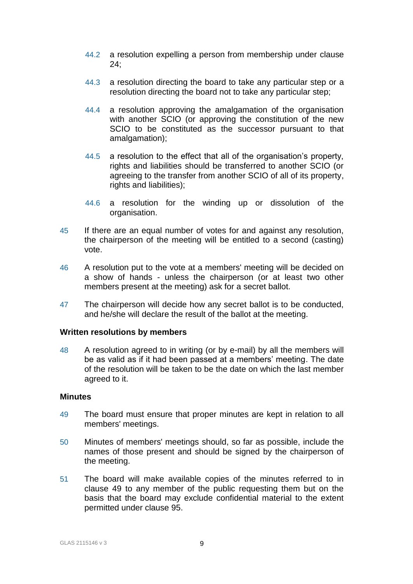- 44.2 a resolution expelling a person from membership under clause 24;
- 44.3 a resolution directing the board to take any particular step or a resolution directing the board not to take any particular step;
- 44.4 a resolution approving the amalgamation of the organisation with another SCIO (or approving the constitution of the new SCIO to be constituted as the successor pursuant to that amalgamation);
- 44.5 a resolution to the effect that all of the organisation's property, rights and liabilities should be transferred to another SCIO (or agreeing to the transfer from another SCIO of all of its property, rights and liabilities);
- 44.6 a resolution for the winding up or dissolution of the organisation.
- 45 If there are an equal number of votes for and against any resolution, the chairperson of the meeting will be entitled to a second (casting) vote.
- 46 A resolution put to the vote at a members' meeting will be decided on a show of hands - unless the chairperson (or at least two other members present at the meeting) ask for a secret ballot.
- 47 The chairperson will decide how any secret ballot is to be conducted, and he/she will declare the result of the ballot at the meeting.

#### **Written resolutions by members**

48 A resolution agreed to in writing (or by e-mail) by all the members will be as valid as if it had been passed at a members' meeting. The date of the resolution will be taken to be the date on which the last member agreed to it.

#### **Minutes**

- 49 The board must ensure that proper minutes are kept in relation to all members' meetings.
- 50 Minutes of members' meetings should, so far as possible, include the names of those present and should be signed by the chairperson of the meeting.
- 51 The board will make available copies of the minutes referred to in clause 49 to any member of the public requesting them but on the basis that the board may exclude confidential material to the extent permitted under clause 95.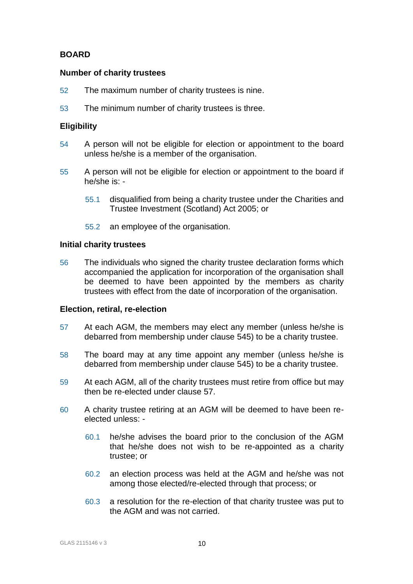## **BOARD**

### **Number of charity trustees**

- 52 The maximum number of charity trustees is nine.
- 53 The minimum number of charity trustees is three.

## **Eligibility**

- 54 A person will not be eligible for election or appointment to the board unless he/she is a member of the organisation.
- 55 A person will not be eligible for election or appointment to the board if he/she is: -
	- 55.1 disqualified from being a charity trustee under the Charities and Trustee Investment (Scotland) Act 2005; or
	- 55.2 an employee of the organisation.

#### **Initial charity trustees**

56 The individuals who signed the charity trustee declaration forms which accompanied the application for incorporation of the organisation shall be deemed to have been appointed by the members as charity trustees with effect from the date of incorporation of the organisation.

#### **Election, retiral, re-election**

- 57 At each AGM, the members may elect any member (unless he/she is debarred from membership under clause 545) to be a charity trustee.
- 58 The board may at any time appoint any member (unless he/she is debarred from membership under clause 545) to be a charity trustee.
- 59 At each AGM, all of the charity trustees must retire from office but may then be re-elected under clause 57.
- 60 A charity trustee retiring at an AGM will be deemed to have been reelected unless: -
	- 60.1 he/she advises the board prior to the conclusion of the AGM that he/she does not wish to be re-appointed as a charity trustee; or
	- 60.2 an election process was held at the AGM and he/she was not among those elected/re-elected through that process; or
	- 60.3 a resolution for the re-election of that charity trustee was put to the AGM and was not carried.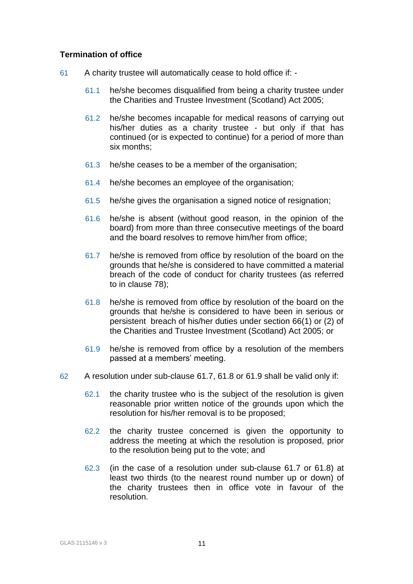## **Termination of office**

- 61 A charity trustee will automatically cease to hold office if:
	- 61.1 he/she becomes disqualified from being a charity trustee under the Charities and Trustee Investment (Scotland) Act 2005;
	- 61.2 he/she becomes incapable for medical reasons of carrying out his/her duties as a charity trustee - but only if that has continued (or is expected to continue) for a period of more than six months;
	- 61.3 he/she ceases to be a member of the organisation;
	- 61.4 he/she becomes an employee of the organisation;
	- 61.5 he/she gives the organisation a signed notice of resignation;
	- 61.6 he/she is absent (without good reason, in the opinion of the board) from more than three consecutive meetings of the board and the board resolves to remove him/her from office;
	- 61.7 he/she is removed from office by resolution of the board on the grounds that he/she is considered to have committed a material breach of the code of conduct for charity trustees (as referred to in clause 78);
	- 61.8 he/she is removed from office by resolution of the board on the grounds that he/she is considered to have been in serious or persistent breach of his/her duties under section 66(1) or (2) of the Charities and Trustee Investment (Scotland) Act 2005; or
	- 61.9 he/she is removed from office by a resolution of the members passed at a members' meeting.
- 62 A resolution under sub-clause 61.7, 61.8 or 61.9 shall be valid only if:
	- 62.1 the charity trustee who is the subject of the resolution is given reasonable prior written notice of the grounds upon which the resolution for his/her removal is to be proposed;
	- 62.2 the charity trustee concerned is given the opportunity to address the meeting at which the resolution is proposed, prior to the resolution being put to the vote; and
	- 62.3 (in the case of a resolution under sub-clause 61.7 or 61.8) at least two thirds (to the nearest round number up or down) of the charity trustees then in office vote in favour of the resolution.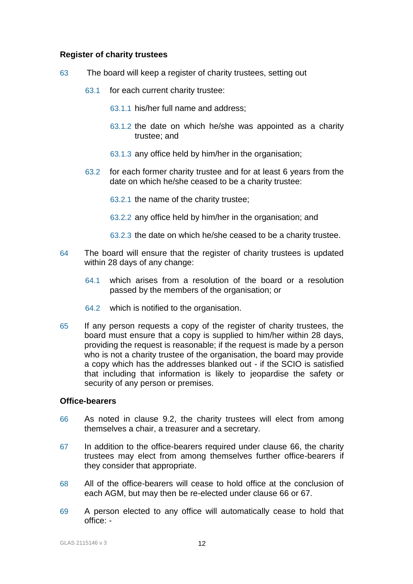### **Register of charity trustees**

- 63 The board will keep a register of charity trustees, setting out
	- 63.1 for each current charity trustee:
		- 63.1.1 his/her full name and address;
		- 63.1.2 the date on which he/she was appointed as a charity trustee; and
		- 63.1.3 any office held by him/her in the organisation;
	- 63.2 for each former charity trustee and for at least 6 years from the date on which he/she ceased to be a charity trustee:

63.2.1 the name of the charity trustee;

- 63.2.2 any office held by him/her in the organisation; and
- 63.2.3 the date on which he/she ceased to be a charity trustee.
- 64 The board will ensure that the register of charity trustees is updated within 28 days of any change:
	- 64.1 which arises from a resolution of the board or a resolution passed by the members of the organisation; or
	- 64.2 which is notified to the organisation.
- 65 If any person requests a copy of the register of charity trustees, the board must ensure that a copy is supplied to him/her within 28 days, providing the request is reasonable; if the request is made by a person who is not a charity trustee of the organisation, the board may provide a copy which has the addresses blanked out - if the SCIO is satisfied that including that information is likely to jeopardise the safety or security of any person or premises.

#### **Office-bearers**

- 66 As noted in clause 9.2, the charity trustees will elect from among themselves a chair, a treasurer and a secretary.
- 67 In addition to the office-bearers required under clause 66, the charity trustees may elect from among themselves further office-bearers if they consider that appropriate.
- 68 All of the office-bearers will cease to hold office at the conclusion of each AGM, but may then be re-elected under clause 66 or 67.
- 69 A person elected to any office will automatically cease to hold that office: -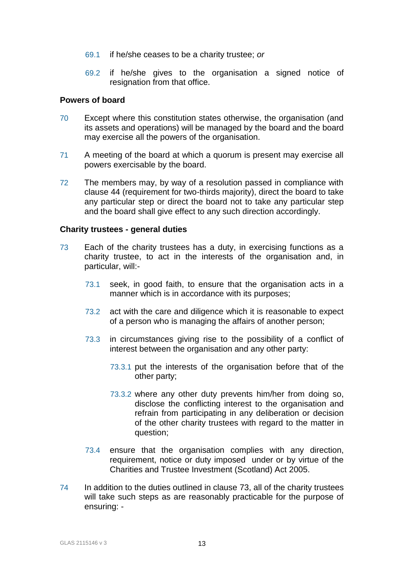- 69.1 if he/she ceases to be a charity trustee; *or*
- 69.2 if he/she gives to the organisation a signed notice of resignation from that office.

#### **Powers of board**

- 70 Except where this constitution states otherwise, the organisation (and its assets and operations) will be managed by the board and the board may exercise all the powers of the organisation.
- 71 A meeting of the board at which a quorum is present may exercise all powers exercisable by the board.
- 72 The members may, by way of a resolution passed in compliance with clause 44 (requirement for two-thirds majority), direct the board to take any particular step or direct the board not to take any particular step and the board shall give effect to any such direction accordingly.

## **Charity trustees - general duties**

- 73 Each of the charity trustees has a duty, in exercising functions as a charity trustee, to act in the interests of the organisation and, in particular, will:-
	- 73.1 seek, in good faith, to ensure that the organisation acts in a manner which is in accordance with its purposes;
	- 73.2 act with the care and diligence which it is reasonable to expect of a person who is managing the affairs of another person;
	- 73.3 in circumstances giving rise to the possibility of a conflict of interest between the organisation and any other party:
		- 73.3.1 put the interests of the organisation before that of the other party;
		- 73.3.2 where any other duty prevents him/her from doing so, disclose the conflicting interest to the organisation and refrain from participating in any deliberation or decision of the other charity trustees with regard to the matter in question;
	- 73.4 ensure that the organisation complies with any direction, requirement, notice or duty imposed under or by virtue of the Charities and Trustee Investment (Scotland) Act 2005.
- 74 In addition to the duties outlined in clause 73, all of the charity trustees will take such steps as are reasonably practicable for the purpose of ensuring: -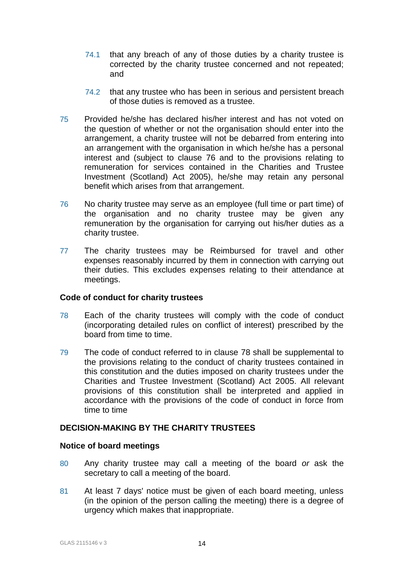- 74.1 that any breach of any of those duties by a charity trustee is corrected by the charity trustee concerned and not repeated; and
- 74.2 that any trustee who has been in serious and persistent breach of those duties is removed as a trustee.
- 75 Provided he/she has declared his/her interest and has not voted on the question of whether or not the organisation should enter into the arrangement, a charity trustee will not be debarred from entering into an arrangement with the organisation in which he/she has a personal interest and (subject to clause 76 and to the provisions relating to remuneration for services contained in the Charities and Trustee Investment (Scotland) Act 2005), he/she may retain any personal benefit which arises from that arrangement.
- 76 No charity trustee may serve as an employee (full time or part time) of the organisation and no charity trustee may be given any remuneration by the organisation for carrying out his/her duties as a charity trustee.
- 77 The charity trustees may be Reimbursed for travel and other expenses reasonably incurred by them in connection with carrying out their duties. This excludes expenses relating to their attendance at meetings.

#### **Code of conduct for charity trustees**

- 78 Each of the charity trustees will comply with the code of conduct (incorporating detailed rules on conflict of interest) prescribed by the board from time to time.
- 79 The code of conduct referred to in clause 78 shall be supplemental to the provisions relating to the conduct of charity trustees contained in this constitution and the duties imposed on charity trustees under the Charities and Trustee Investment (Scotland) Act 2005. All relevant provisions of this constitution shall be interpreted and applied in accordance with the provisions of the code of conduct in force from time to time

#### **DECISION-MAKING BY THE CHARITY TRUSTEES**

#### **Notice of board meetings**

- 80 Any charity trustee may call a meeting of the board *or* ask the secretary to call a meeting of the board.
- 81 At least 7 days' notice must be given of each board meeting, unless (in the opinion of the person calling the meeting) there is a degree of urgency which makes that inappropriate.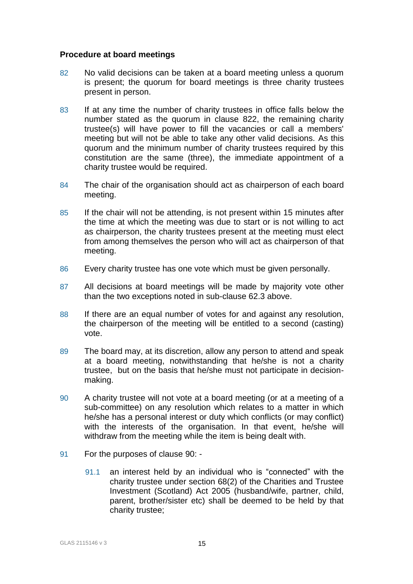## **Procedure at board meetings**

- 82 No valid decisions can be taken at a board meeting unless a quorum is present; the quorum for board meetings is three charity trustees present in person.
- 83 If at any time the number of charity trustees in office falls below the number stated as the quorum in clause 822, the remaining charity trustee(s) will have power to fill the vacancies or call a members' meeting but will not be able to take any other valid decisions. As this quorum and the minimum number of charity trustees required by this constitution are the same (three), the immediate appointment of a charity trustee would be required.
- 84 The chair of the organisation should act as chairperson of each board meeting.
- 85 If the chair will not be attending, is not present within 15 minutes after the time at which the meeting was due to start or is not willing to act as chairperson, the charity trustees present at the meeting must elect from among themselves the person who will act as chairperson of that meeting.
- 86 Every charity trustee has one vote which must be given personally.
- 87 All decisions at board meetings will be made by majority vote other than the two exceptions noted in sub-clause 62.3 above.
- 88 If there are an equal number of votes for and against any resolution, the chairperson of the meeting will be entitled to a second (casting) vote.
- 89 The board may, at its discretion, allow any person to attend and speak at a board meeting, notwithstanding that he/she is not a charity trustee, but on the basis that he/she must not participate in decisionmaking.
- 90 A charity trustee will not vote at a board meeting (or at a meeting of a sub-committee) on any resolution which relates to a matter in which he/she has a personal interest or duty which conflicts (or may conflict) with the interests of the organisation. In that event, he/she will withdraw from the meeting while the item is being dealt with.
- 91 For the purposes of clause 90:
	- 91.1 an interest held by an individual who is "connected" with the charity trustee under section 68(2) of the Charities and Trustee Investment (Scotland) Act 2005 (husband/wife, partner, child, parent, brother/sister etc) shall be deemed to be held by that charity trustee;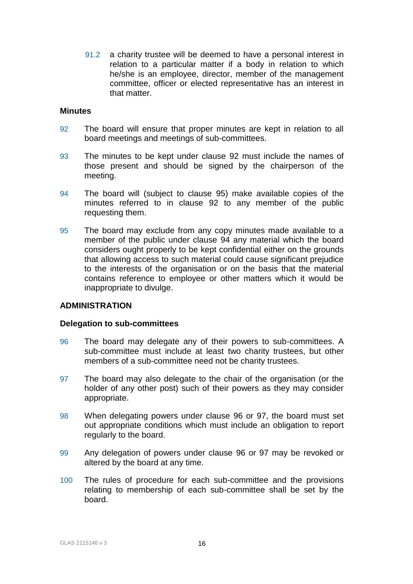91.2 a charity trustee will be deemed to have a personal interest in relation to a particular matter if a body in relation to which he/she is an employee, director, member of the management committee, officer or elected representative has an interest in that matter.

#### **Minutes**

- 92 The board will ensure that proper minutes are kept in relation to all board meetings and meetings of sub-committees.
- 93 The minutes to be kept under clause 92 must include the names of those present and should be signed by the chairperson of the meeting.
- 94 The board will (subject to clause 95) make available copies of the minutes referred to in clause 92 to any member of the public requesting them.
- 95 The board may exclude from any copy minutes made available to a member of the public under clause 94 any material which the board considers ought properly to be kept confidential either on the grounds that allowing access to such material could cause significant prejudice to the interests of the organisation or on the basis that the material contains reference to employee or other matters which it would be inappropriate to divulge.

#### **ADMINISTRATION**

#### **Delegation to sub-committees**

- 96 The board may delegate any of their powers to sub-committees. A sub-committee must include at least two charity trustees, but other members of a sub-committee need not be charity trustees.
- 97 The board may also delegate to the chair of the organisation (or the holder of any other post) such of their powers as they may consider appropriate.
- 98 When delegating powers under clause 96 or 97, the board must set out appropriate conditions which must include an obligation to report regularly to the board.
- 99 Any delegation of powers under clause 96 or 97 may be revoked or altered by the board at any time.
- 100 The rules of procedure for each sub-committee and the provisions relating to membership of each sub-committee shall be set by the board.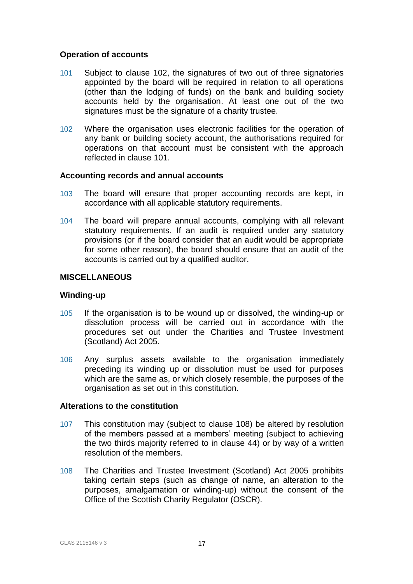## **Operation of accounts**

- 101 Subject to clause 102, the signatures of two out of three signatories appointed by the board will be required in relation to all operations (other than the lodging of funds) on the bank and building society accounts held by the organisation. At least one out of the two signatures must be the signature of a charity trustee.
- 102 Where the organisation uses electronic facilities for the operation of any bank or building society account, the authorisations required for operations on that account must be consistent with the approach reflected in clause 101.

#### **Accounting records and annual accounts**

- 103 The board will ensure that proper accounting records are kept, in accordance with all applicable statutory requirements.
- 104 The board will prepare annual accounts, complying with all relevant statutory requirements. If an audit is required under any statutory provisions (or if the board consider that an audit would be appropriate for some other reason), the board should ensure that an audit of the accounts is carried out by a qualified auditor.

## **MISCELLANEOUS**

### **Winding-up**

- 105 If the organisation is to be wound up or dissolved, the winding-up or dissolution process will be carried out in accordance with the procedures set out under the Charities and Trustee Investment (Scotland) Act 2005.
- 106 Any surplus assets available to the organisation immediately preceding its winding up or dissolution must be used for purposes which are the same as, or which closely resemble, the purposes of the organisation as set out in this constitution.

## **Alterations to the constitution**

- 107 This constitution may (subject to clause 108) be altered by resolution of the members passed at a members' meeting (subject to achieving the two thirds majority referred to in clause 44) or by way of a written resolution of the members.
- 108 The Charities and Trustee Investment (Scotland) Act 2005 prohibits taking certain steps (such as change of name, an alteration to the purposes, amalgamation or winding-up) without the consent of the Office of the Scottish Charity Regulator (OSCR).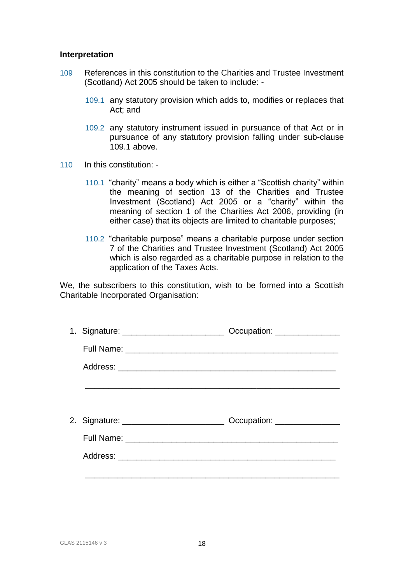#### **Interpretation**

- 109 References in this constitution to the Charities and Trustee Investment (Scotland) Act 2005 should be taken to include: -
	- 109.1 any statutory provision which adds to, modifies or replaces that Act; and
	- 109.2 any statutory instrument issued in pursuance of that Act or in pursuance of any statutory provision falling under sub-clause 109.1 above.
- 110 In this constitution:
	- 110.1 "charity" means a body which is either a "Scottish charity" within the meaning of section 13 of the Charities and Trustee Investment (Scotland) Act 2005 or a "charity" within the meaning of section 1 of the Charities Act 2006, providing (in either case) that its objects are limited to charitable purposes;
	- 110.2 "charitable purpose" means a charitable purpose under section 7 of the Charities and Trustee Investment (Scotland) Act 2005 which is also regarded as a charitable purpose in relation to the application of the Taxes Acts.

We, the subscribers to this constitution, wish to be formed into a Scottish Charitable Incorporated Organisation:

| Occupation: _______________                                                      |
|----------------------------------------------------------------------------------|
|                                                                                  |
|                                                                                  |
|                                                                                  |
|                                                                                  |
| 2. Signature: ________________________________ Occupation: _____________________ |
|                                                                                  |
|                                                                                  |
|                                                                                  |
|                                                                                  |